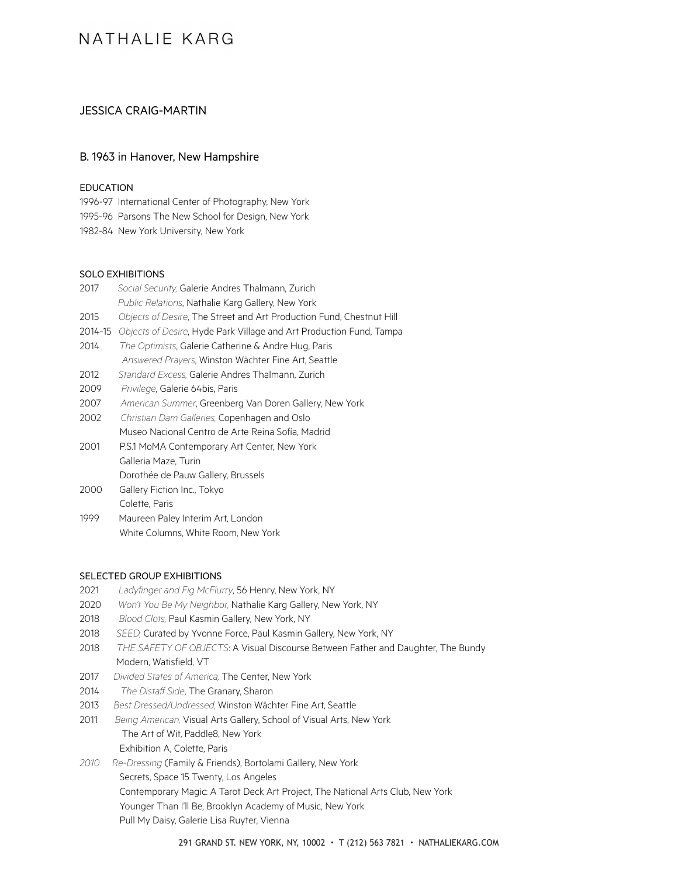## NATHALIF KARG

## JESSICA CRAIG-MARTIN

### B. 1963 in Hanover, New Hampshire

#### EDUCATION

1996-97 International Center of Photography, New York 1995-96 Parsons The New School for Design, New York 1982-84 New York University, New York

## SOLO EXHIBITIONS

| 2017    | Social Security, Galerie Andres Thalmann, Zurich                     |
|---------|----------------------------------------------------------------------|
|         | Public Relations, Nathalie Karg Gallery, New York                    |
| 2015    | Objects of Desire, The Street and Art Production Fund, Chestnut Hill |
| 2014-15 | Objects of Desire, Hyde Park Village and Art Production Fund, Tampa  |
| 2014    | The Optimists, Galerie Catherine & Andre Hug, Paris                  |
|         | Answered Prayers, Winston Wächter Fine Art, Seattle                  |
| 2012    | Standard Excess, Galerie Andres Thalmann, Zurich                     |
| 2009    | Privilege, Galerie 64bis, Paris                                      |
| 2007    | American Summer, Greenberg Van Doren Gallery, New York               |
| 2002    | Christian Dam Galleries, Copenhagen and Oslo                         |
|         | Museo Nacional Centro de Arte Reina Sofía, Madrid                    |
| 2001    | P.S.1 MoMA Contemporary Art Center, New York                         |
|         | Galleria Maze, Turin                                                 |
|         | Dorothée de Pauw Gallery, Brussels                                   |
| 2000    | Gallery Fiction Inc., Tokyo                                          |
|         | Colette, Paris                                                       |
| 1999    | Maureen Paley Interim Art, London                                    |
|         | White Columns, White Room, New York                                  |

#### SELECTED GROUP EXHIBITIONS

- 2021 *Ladyfinger and Fig McFlurry*, 56 Henry, New York, NY
- 2020 *Won't You Be My Neighbor,* Nathalie Karg Gallery, New York, NY
- 2018 *Blood Clots,* Paul Kasmin Gallery, New York, NY
- 2018 *SEED,* Curated by Yvonne Force, Paul Kasmin Gallery, New York, NY
- 2018 *THE SAFETY OF OBJECTS*: A Visual Discourse Between Father and Daughter, The Bundy Modern, Watisfield, VT
- 2017 *Divided States of America,* The Center, New York
- 2014 *The Distaff Side*, The Granary, Sharon
- 2013 *Best Dressed/Undressed,* Winston Wächter Fine Art, Seattle
- 2011 *Being American,* Visual Arts Gallery, School of Visual Arts, New York The Art of Wit, Paddle8, New York Exhibition A, Colette, Paris
- *2010 Re-Dressing* (Family & Friends), Bortolami Gallery, New York Secrets, Space 15 Twenty, Los Angeles Contemporary Magic: A Tarot Deck Art Project, The National Arts Club, New York Younger Than I'll Be, Brooklyn Academy of Music, New York Pull My Daisy, Galerie Lisa Ruyter, Vienna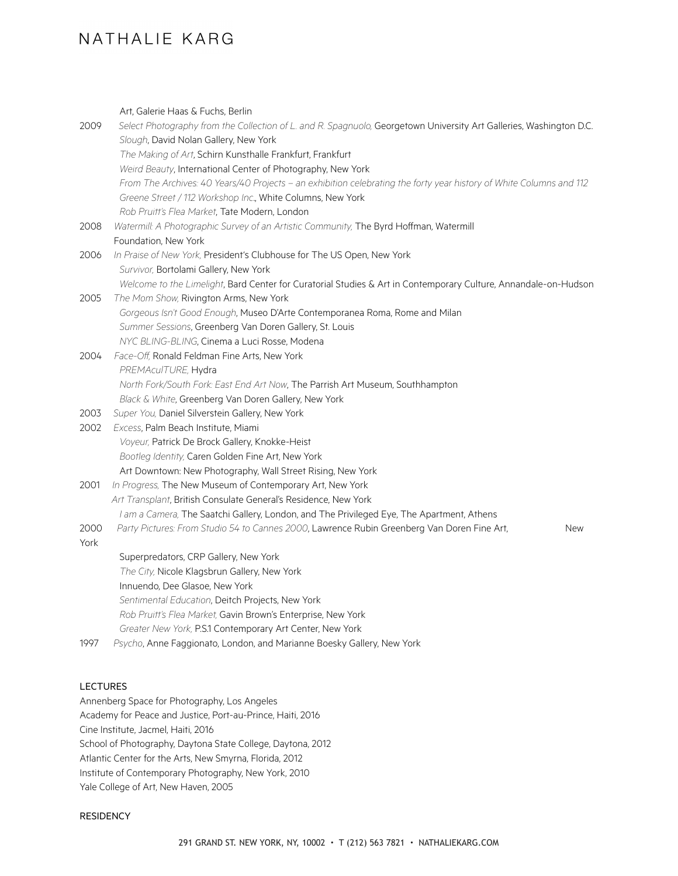# NATHALIF KARG

Art, Galerie Haas & Fuchs, Berlin 2009 *Select Photography from the Collection of L. and R. Spagnuolo,* Georgetown University Art Galleries, Washington D.C. *Slough*, David Nolan Gallery, New York *The Making of Art*, Schirn Kunsthalle Frankfurt, Frankfurt *Weird Beauty*, International Center of Photography, New York *From The Archives: 40 Years/40 Projects – an exhibition celebrating the forty year history of White Columns and 112 Greene Street / 112 Workshop Inc*., White Columns, New York *Rob Pruitt's Flea Market*, Tate Modern, London 2008 *Watermill: A Photographic Survey of an Artistic Community,* The Byrd Hoffman, Watermill Foundation, New York 2006 *In Praise of New York,* President's Clubhouse for The US Open, New York *Survivor,* Bortolami Gallery, New York *Welcome to the Limelight*, Bard Center for Curatorial Studies & Art in Contemporary Culture, Annandale-on-Hudson 2005 *The Mom Show,* Rivington Arms, New York *Gorgeous Isn't Good Enough*, Museo D'Arte Contemporanea Roma, Rome and Milan *Summer Sessions*, Greenberg Van Doren Gallery, St. Louis *NYC BLING-BLING*, Cinema a Luci Rosse, Modena 2004 *Face-Off,* Ronald Feldman Fine Arts, New York *PREMAculTURE,* Hydra *North Fork/South Fork: East End Art Now*, The Parrish Art Museum, Southhampton *Black & White*, Greenberg Van Doren Gallery, New York 2003 *Super You,* Daniel Silverstein Gallery, New York 2002 *Excess*, Palm Beach Institute, Miami *Voyeur,* Patrick De Brock Gallery, Knokke-Heist *Bootleg Identity,* Caren Golden Fine Art, New York Art Downtown: New Photography, Wall Street Rising, New York 2001 *In Progress,* The New Museum of Contemporary Art, New York *Art Transplant*, British Consulate General's Residence, New York *I am a Camera,* The Saatchi Gallery, London, and The Privileged Eye, The Apartment, Athens 2000 *Party Pictures: From Studio 54 to Cannes 2000*, Lawrence Rubin Greenberg Van Doren Fine Art, New York Superpredators, CRP Gallery, New York *The City,* Nicole Klagsbrun Gallery, New York Innuendo, Dee Glasoe, New York *Sentimental Education*, Deitch Projects, New York *Rob Pruitt's Flea Market,* Gavin Brown's Enterprise, New York *Greater New York,* P.S.1 Contemporary Art Center, New York 1997 *Psycho*, Anne Faggionato, London, and Marianne Boesky Gallery, New York

## **LECTURES**

Annenberg Space for Photography, Los Angeles Academy for Peace and Justice, Port-au-Prince, Haiti, 2016 Cine Institute, Jacmel, Haiti, 2016 School of Photography, Daytona State College, Daytona, 2012 Atlantic Center for the Arts, New Smyrna, Florida, 2012 Institute of Contemporary Photography, New York, 2010 Yale College of Art, New Haven, 2005

### **RESIDENCY**